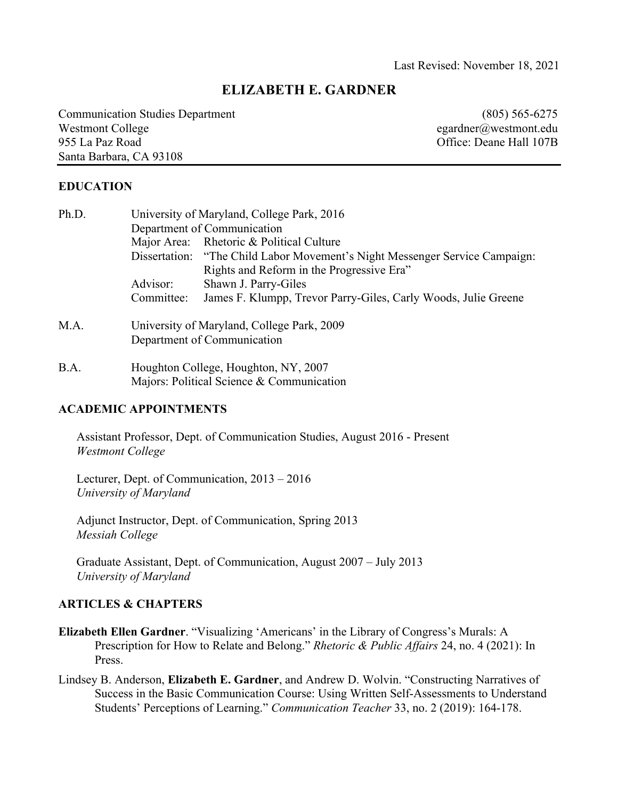# **ELIZABETH E. GARDNER**

Communication Studies Department (805) 565-6275 Westmont College egardner@westmont.edu 955 La Paz Road Office: Deane Hall 107B Santa Barbara, CA 93108

#### **EDUCATION**

| Ph.D. | University of Maryland, College Park, 2016<br>Department of Communication |                                                                                                                          |
|-------|---------------------------------------------------------------------------|--------------------------------------------------------------------------------------------------------------------------|
|       |                                                                           | Major Area: Rhetoric & Political Culture                                                                                 |
|       |                                                                           | Dissertation: "The Child Labor Movement's Night Messenger Service Campaign:<br>Rights and Reform in the Progressive Era" |
|       | Advisor:                                                                  | Shawn J. Parry-Giles                                                                                                     |
|       | Committee:                                                                | James F. Klumpp, Trevor Parry-Giles, Carly Woods, Julie Greene                                                           |
| M.A.  | University of Maryland, College Park, 2009<br>Department of Communication |                                                                                                                          |

B.A. Houghton College, Houghton, NY, 2007 Majors: Political Science & Communication

#### **ACADEMIC APPOINTMENTS**

Assistant Professor, Dept. of Communication Studies, August 2016 - Present *Westmont College*

Lecturer, Dept. of Communication, 2013 – 2016 *University of Maryland*

Adjunct Instructor, Dept. of Communication, Spring 2013 *Messiah College*

Graduate Assistant, Dept. of Communication, August 2007 – July 2013 *University of Maryland*

#### **ARTICLES & CHAPTERS**

- **Elizabeth Ellen Gardner**. "Visualizing 'Americans' in the Library of Congress's Murals: A Prescription for How to Relate and Belong." *Rhetoric & Public Affairs* 24, no. 4 (2021): In Press.
- Lindsey B. Anderson, **Elizabeth E. Gardner**, and Andrew D. Wolvin. "Constructing Narratives of Success in the Basic Communication Course: Using Written Self-Assessments to Understand Students' Perceptions of Learning." *Communication Teacher* 33, no. 2 (2019): 164-178.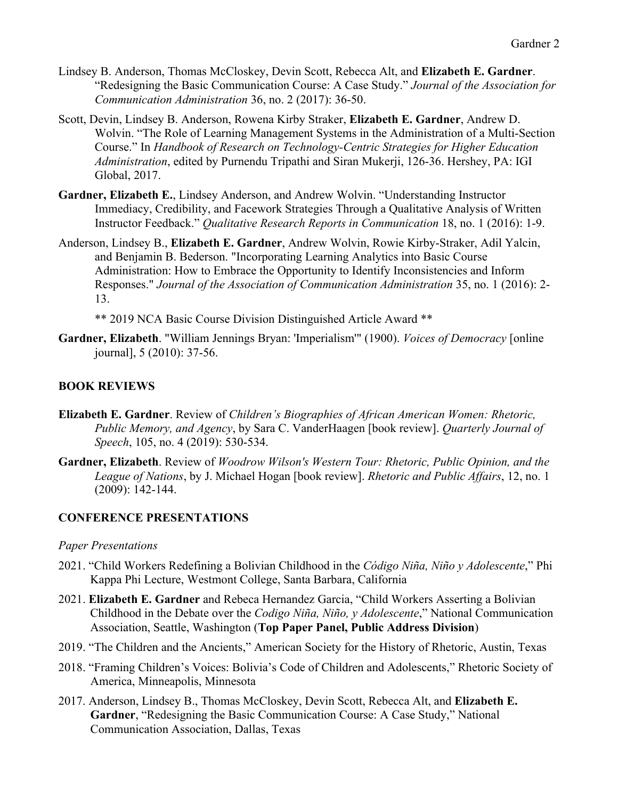- Lindsey B. Anderson, Thomas McCloskey, Devin Scott, Rebecca Alt, and **Elizabeth E. Gardner**. "Redesigning the Basic Communication Course: A Case Study." *Journal of the Association for Communication Administration* 36, no. 2 (2017): 36-50.
- Scott, Devin, Lindsey B. Anderson, Rowena Kirby Straker, **Elizabeth E. Gardner**, Andrew D. Wolvin. "The Role of Learning Management Systems in the Administration of a Multi-Section Course." In *Handbook of Research on Technology-Centric Strategies for Higher Education Administration*, edited by Purnendu Tripathi and Siran Mukerji, 126-36. Hershey, PA: IGI Global, 2017.
- **Gardner, Elizabeth E.**, Lindsey Anderson, and Andrew Wolvin. "Understanding Instructor Immediacy, Credibility, and Facework Strategies Through a Qualitative Analysis of Written Instructor Feedback." *Qualitative Research Reports in Communication* 18, no. 1 (2016): 1-9.
- Anderson, Lindsey B., **Elizabeth E. Gardner**, Andrew Wolvin, Rowie Kirby-Straker, Adil Yalcin, and Benjamin B. Bederson. "Incorporating Learning Analytics into Basic Course Administration: How to Embrace the Opportunity to Identify Inconsistencies and Inform Responses." *Journal of the Association of Communication Administration* 35, no. 1 (2016): 2- 13.

\*\* 2019 NCA Basic Course Division Distinguished Article Award \*\*

**Gardner, Elizabeth**. "William Jennings Bryan: 'Imperialism'" (1900). *Voices of Democracy* [online journal], 5 (2010): 37-56.

## **BOOK REVIEWS**

- **Elizabeth E. Gardner**. Review of *Children's Biographies of African American Women: Rhetoric, Public Memory, and Agency*, by Sara C. VanderHaagen [book review]. *Quarterly Journal of Speech*, 105, no. 4 (2019): 530-534.
- **Gardner, Elizabeth**. Review of *Woodrow Wilson's Western Tour: Rhetoric, Public Opinion, and the League of Nations*, by J. Michael Hogan [book review]. *Rhetoric and Public Affairs*, 12, no. 1 (2009): 142-144.

## **CONFERENCE PRESENTATIONS**

### *Paper Presentations*

- 2021. "Child Workers Redefining a Bolivian Childhood in the *Código Niña, Niño y Adolescente*," Phi Kappa Phi Lecture, Westmont College, Santa Barbara, California
- 2021. **Elizabeth E. Gardner** and Rebeca Hernandez Garcia, "Child Workers Asserting a Bolivian Childhood in the Debate over the *Codigo Niña, Niño, y Adolescente*," National Communication Association, Seattle, Washington (**Top Paper Panel, Public Address Division**)
- 2019. "The Children and the Ancients," American Society for the History of Rhetoric, Austin, Texas
- 2018. "Framing Children's Voices: Bolivia's Code of Children and Adolescents," Rhetoric Society of America, Minneapolis, Minnesota
- 2017. Anderson, Lindsey B., Thomas McCloskey, Devin Scott, Rebecca Alt, and **Elizabeth E. Gardner**, "Redesigning the Basic Communication Course: A Case Study," National Communication Association, Dallas, Texas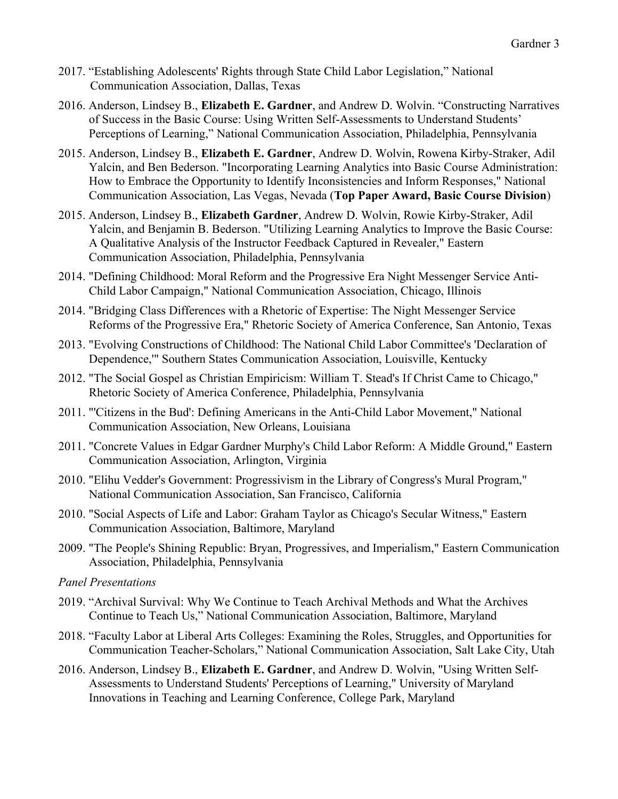- 2017. "Establishing Adolescents' Rights through State Child Labor Legislation," National Communication Association, Dallas, Texas
- 2016. Anderson, Lindsey B., **Elizabeth E. Gardner**, and Andrew D. Wolvin. "Constructing Narratives of Success in the Basic Course: Using Written Self-Assessments to Understand Students' Perceptions of Learning," National Communication Association, Philadelphia, Pennsylvania
- 2015. Anderson, Lindsey B., **Elizabeth E. Gardner**, Andrew D. Wolvin, Rowena Kirby-Straker, Adil Yalcin, and Ben Bederson. "Incorporating Learning Analytics into Basic Course Administration: How to Embrace the Opportunity to Identify Inconsistencies and Inform Responses," National Communication Association, Las Vegas, Nevada (**Top Paper Award, Basic Course Division**)
- 2015. Anderson, Lindsey B., **Elizabeth Gardner**, Andrew D. Wolvin, Rowie Kirby-Straker, Adil Yalcin, and Benjamin B. Bederson. "Utilizing Learning Analytics to Improve the Basic Course: A Qualitative Analysis of the Instructor Feedback Captured in Revealer," Eastern Communication Association, Philadelphia, Pennsylvania
- 2014. "Defining Childhood: Moral Reform and the Progressive Era Night Messenger Service Anti-Child Labor Campaign," National Communication Association, Chicago, Illinois
- 2014. "Bridging Class Differences with a Rhetoric of Expertise: The Night Messenger Service Reforms of the Progressive Era," Rhetoric Society of America Conference, San Antonio, Texas
- 2013. "Evolving Constructions of Childhood: The National Child Labor Committee's 'Declaration of Dependence,'" Southern States Communication Association, Louisville, Kentucky
- 2012. "The Social Gospel as Christian Empiricism: William T. Stead's If Christ Came to Chicago," Rhetoric Society of America Conference, Philadelphia, Pennsylvania
- 2011. "'Citizens in the Bud': Defining Americans in the Anti-Child Labor Movement," National Communication Association, New Orleans, Louisiana
- 2011. "Concrete Values in Edgar Gardner Murphy's Child Labor Reform: A Middle Ground," Eastern Communication Association, Arlington, Virginia
- 2010. "Elihu Vedder's Government: Progressivism in the Library of Congress's Mural Program," National Communication Association, San Francisco, California
- 2010. "Social Aspects of Life and Labor: Graham Taylor as Chicago's Secular Witness," Eastern Communication Association, Baltimore, Maryland
- 2009. "The People's Shining Republic: Bryan, Progressives, and Imperialism," Eastern Communication Association, Philadelphia, Pennsylvania
- *Panel Presentations*
- 2019. "Archival Survival: Why We Continue to Teach Archival Methods and What the Archives Continue to Teach Us," National Communication Association, Baltimore, Maryland
- 2018. "Faculty Labor at Liberal Arts Colleges: Examining the Roles, Struggles, and Opportunities for Communication Teacher-Scholars," National Communication Association, Salt Lake City, Utah
- 2016. Anderson, Lindsey B., **Elizabeth E. Gardner**, and Andrew D. Wolvin, "Using Written Self-Assessments to Understand Students' Perceptions of Learning," University of Maryland Innovations in Teaching and Learning Conference, College Park, Maryland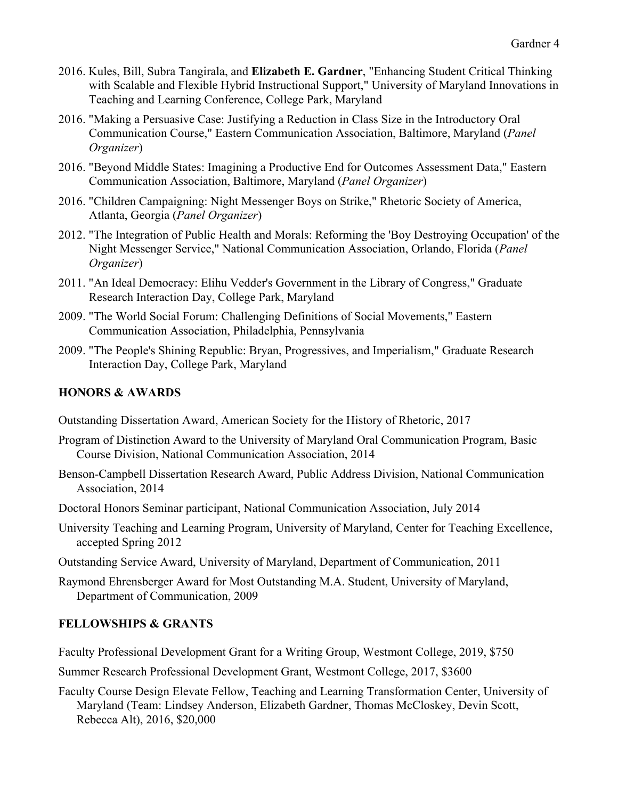- 2016. Kules, Bill, Subra Tangirala, and **Elizabeth E. Gardner**, "Enhancing Student Critical Thinking with Scalable and Flexible Hybrid Instructional Support," University of Maryland Innovations in Teaching and Learning Conference, College Park, Maryland
- 2016. "Making a Persuasive Case: Justifying a Reduction in Class Size in the Introductory Oral Communication Course," Eastern Communication Association, Baltimore, Maryland (*Panel Organizer*)
- 2016. "Beyond Middle States: Imagining a Productive End for Outcomes Assessment Data," Eastern Communication Association, Baltimore, Maryland (*Panel Organizer*)
- 2016. "Children Campaigning: Night Messenger Boys on Strike," Rhetoric Society of America, Atlanta, Georgia (*Panel Organizer*)
- 2012. "The Integration of Public Health and Morals: Reforming the 'Boy Destroying Occupation' of the Night Messenger Service," National Communication Association, Orlando, Florida (*Panel Organizer*)
- 2011. "An Ideal Democracy: Elihu Vedder's Government in the Library of Congress," Graduate Research Interaction Day, College Park, Maryland
- 2009. "The World Social Forum: Challenging Definitions of Social Movements," Eastern Communication Association, Philadelphia, Pennsylvania
- 2009. "The People's Shining Republic: Bryan, Progressives, and Imperialism," Graduate Research Interaction Day, College Park, Maryland

### **HONORS & AWARDS**

- Outstanding Dissertation Award, American Society for the History of Rhetoric, 2017
- Program of Distinction Award to the University of Maryland Oral Communication Program, Basic Course Division, National Communication Association, 2014
- Benson-Campbell Dissertation Research Award, Public Address Division, National Communication Association, 2014
- Doctoral Honors Seminar participant, National Communication Association, July 2014
- University Teaching and Learning Program, University of Maryland, Center for Teaching Excellence, accepted Spring 2012
- Outstanding Service Award, University of Maryland, Department of Communication, 2011
- Raymond Ehrensberger Award for Most Outstanding M.A. Student, University of Maryland, Department of Communication, 2009

### **FELLOWSHIPS & GRANTS**

Faculty Professional Development Grant for a Writing Group, Westmont College, 2019, \$750

Summer Research Professional Development Grant, Westmont College, 2017, \$3600

Faculty Course Design Elevate Fellow, Teaching and Learning Transformation Center, University of Maryland (Team: Lindsey Anderson, Elizabeth Gardner, Thomas McCloskey, Devin Scott, Rebecca Alt), 2016, \$20,000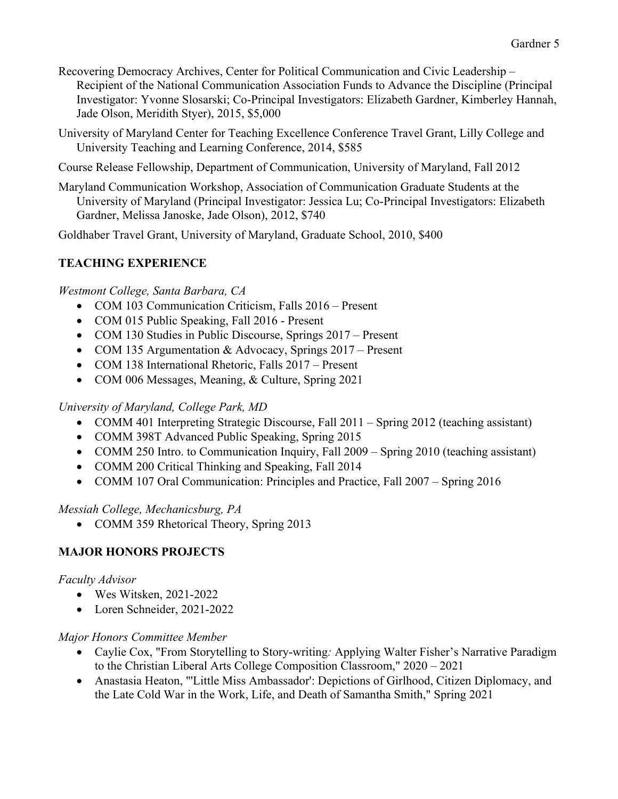- Recovering Democracy Archives, Center for Political Communication and Civic Leadership Recipient of the National Communication Association Funds to Advance the Discipline (Principal Investigator: Yvonne Slosarski; Co-Principal Investigators: Elizabeth Gardner, Kimberley Hannah, Jade Olson, Meridith Styer), 2015, \$5,000
- University of Maryland Center for Teaching Excellence Conference Travel Grant, Lilly College and University Teaching and Learning Conference, 2014, \$585
- Course Release Fellowship, Department of Communication, University of Maryland, Fall 2012
- Maryland Communication Workshop, Association of Communication Graduate Students at the University of Maryland (Principal Investigator: Jessica Lu; Co-Principal Investigators: Elizabeth Gardner, Melissa Janoske, Jade Olson), 2012, \$740

Goldhaber Travel Grant, University of Maryland, Graduate School, 2010, \$400

# **TEACHING EXPERIENCE**

### *Westmont College, Santa Barbara, CA*

- COM 103 Communication Criticism, Falls 2016 Present
- COM 015 Public Speaking, Fall 2016 Present
- COM 130 Studies in Public Discourse, Springs 2017 Present
- COM 135 Argumentation & Advocacy, Springs 2017 Present
- COM 138 International Rhetoric, Falls 2017 Present
- COM 006 Messages, Meaning, & Culture, Spring 2021

## *University of Maryland, College Park, MD*

- COMM 401 Interpreting Strategic Discourse, Fall 2011 Spring 2012 (teaching assistant)
- COMM 398T Advanced Public Speaking, Spring 2015
- COMM 250 Intro. to Communication Inquiry, Fall 2009 Spring 2010 (teaching assistant)
- COMM 200 Critical Thinking and Speaking, Fall 2014
- COMM 107 Oral Communication: Principles and Practice, Fall 2007 Spring 2016

### *Messiah College, Mechanicsburg, PA*

• COMM 359 Rhetorical Theory, Spring 2013

## **MAJOR HONORS PROJECTS**

### *Faculty Advisor*

- Wes Witsken, 2021-2022
- Loren Schneider, 2021-2022

### *Major Honors Committee Member*

- Caylie Cox, "From Storytelling to Story-writing*:* Applying Walter Fisher's Narrative Paradigm to the Christian Liberal Arts College Composition Classroom," 2020 – 2021
- Anastasia Heaton, "'Little Miss Ambassador': Depictions of Girlhood, Citizen Diplomacy, and the Late Cold War in the Work, Life, and Death of Samantha Smith," Spring 2021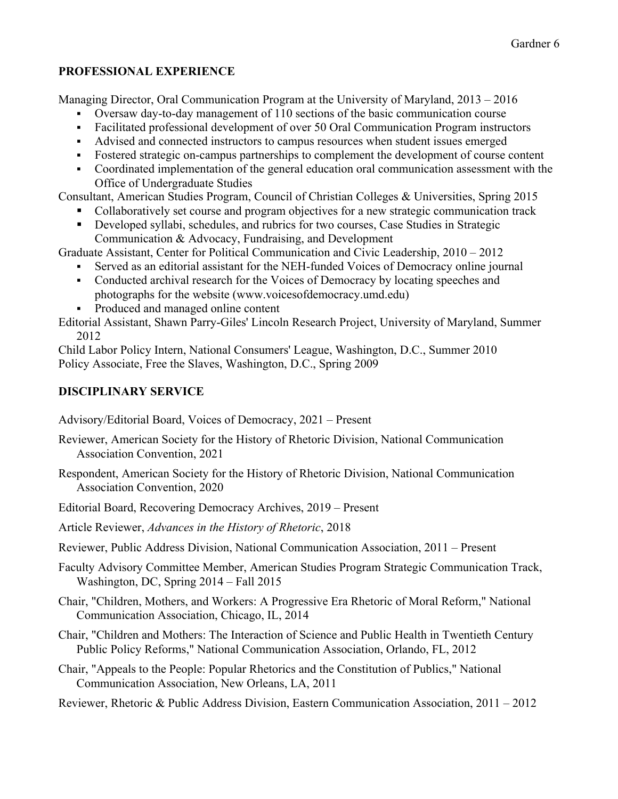## **PROFESSIONAL EXPERIENCE**

Managing Director, Oral Communication Program at the University of Maryland, 2013 – 2016

- § Oversaw day-to-day management of 110 sections of the basic communication course
- Facilitated professional development of over 50 Oral Communication Program instructors
- § Advised and connected instructors to campus resources when student issues emerged
- § Fostered strategic on-campus partnerships to complement the development of course content
- Coordinated implementation of the general education oral communication assessment with the Office of Undergraduate Studies

Consultant, American Studies Program, Council of Christian Colleges & Universities, Spring 2015 § Collaboratively set course and program objectives for a new strategic communication track

- Developed syllabi, schedules, and rubrics for two courses, Case Studies in Strategic
- Communication & Advocacy, Fundraising, and Development

Graduate Assistant, Center for Political Communication and Civic Leadership, 2010 – 2012

- Served as an editorial assistant for the NEH-funded Voices of Democracy online journal
- Conducted archival research for the Voices of Democracy by locating speeches and photographs for the website (www.voicesofdemocracy.umd.edu)
- Produced and managed online content

Editorial Assistant, Shawn Parry-Giles' Lincoln Research Project, University of Maryland, Summer 2012

Child Labor Policy Intern, National Consumers' League, Washington, D.C., Summer 2010 Policy Associate, Free the Slaves, Washington, D.C., Spring 2009

# **DISCIPLINARY SERVICE**

Advisory/Editorial Board, Voices of Democracy, 2021 – Present

- Reviewer, American Society for the History of Rhetoric Division, National Communication Association Convention, 2021
- Respondent, American Society for the History of Rhetoric Division, National Communication Association Convention, 2020
- Editorial Board, Recovering Democracy Archives, 2019 Present

Article Reviewer, *Advances in the History of Rhetoric*, 2018

Reviewer, Public Address Division, National Communication Association, 2011 – Present

Faculty Advisory Committee Member, American Studies Program Strategic Communication Track, Washington, DC, Spring 2014 – Fall 2015

Chair, "Children, Mothers, and Workers: A Progressive Era Rhetoric of Moral Reform," National Communication Association, Chicago, IL, 2014

- Chair, "Children and Mothers: The Interaction of Science and Public Health in Twentieth Century Public Policy Reforms," National Communication Association, Orlando, FL, 2012
- Chair, "Appeals to the People: Popular Rhetorics and the Constitution of Publics," National Communication Association, New Orleans, LA, 2011

Reviewer, Rhetoric & Public Address Division, Eastern Communication Association, 2011 – 2012